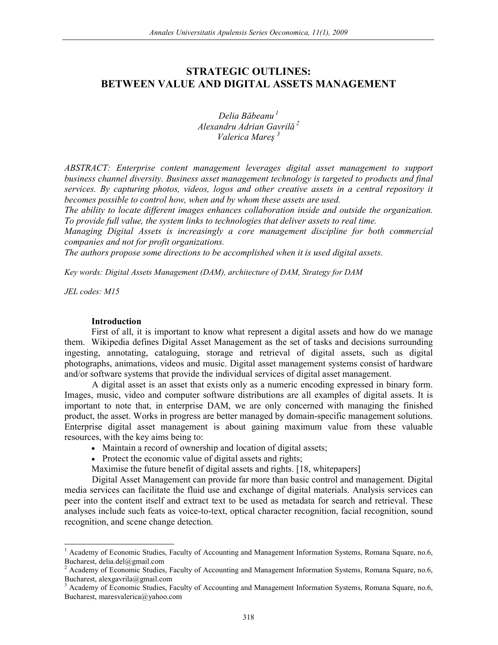# **STRATEGIC OUTLINES: BETWEEN VALUE AND DIGITAL ASSETS MANAGEMENT**

*Delia Băbeanu<sup>1</sup> Alexandru Adrian Gavrilă<sup>2</sup> Valerica Mareş <sup>3</sup>* 

*ABSTRACT: Enterprise content management leverages digital asset management to support business channel diversity. Business asset management technology is targeted to products and final services. By capturing photos, videos, logos and other creative assets in a central repository it becomes possible to control how, when and by whom these assets are used.* 

*The ability to locate different images enhances collaboration inside and outside the organization. To provide full value, the system links to technologies that deliver assets to real time.* 

*Managing Digital Assets is increasingly a core management discipline for both commercial companies and not for profit organizations.* 

*The authors propose some directions to be accomplished when it is used digital assets.* 

*Key words: Digital Assets Management (DAM), architecture of DAM, Strategy for DAM* 

*JEL codes: M15* 

 $\overline{\phantom{a}}$ 

#### **Introduction**

First of all, it is important to know what represent a digital assets and how do we manage them. Wikipedia defines Digital Asset Management as the set of tasks and decisions surrounding ingesting, annotating, cataloguing, storage and retrieval of digital assets, such as digital photographs, animations, videos and music. Digital asset management systems consist of hardware and/or software systems that provide the individual services of digital asset management.

A digital asset is an asset that exists only as a numeric encoding expressed in binary form. Images, music, video and computer software distributions are all examples of digital assets. It is important to note that, in enterprise DAM, we are only concerned with managing the finished product, the asset. Works in progress are better managed by domain-specific management solutions. Enterprise digital asset management is about gaining maximum value from these valuable resources, with the key aims being to:

- Maintain a record of ownership and location of digital assets;
- Protect the economic value of digital assets and rights;

Maximise the future benefit of digital assets and rights. [18, whitepapers]

Digital Asset Management can provide far more than basic control and management. Digital media services can facilitate the fluid use and exchange of digital materials. Analysis services can peer into the content itself and extract text to be used as metadata for search and retrieval. These analyses include such feats as voice-to-text, optical character recognition, facial recognition, sound recognition, and scene change detection.

<sup>1</sup> Academy of Economic Studies, Faculty of Accounting and Management Information Systems, Romana Square, no.6, Bucharest, delia.del@gmail.com

<sup>&</sup>lt;sup>2</sup> Academy of Economic Studies, Faculty of Accounting and Management Information Systems, Romana Square, no.6, Bucharest, alexgavrila@gmail.com

<sup>3</sup> Academy of Economic Studies, Faculty of Accounting and Management Information Systems, Romana Square, no.6, Bucharest, maresvalerica@yahoo.com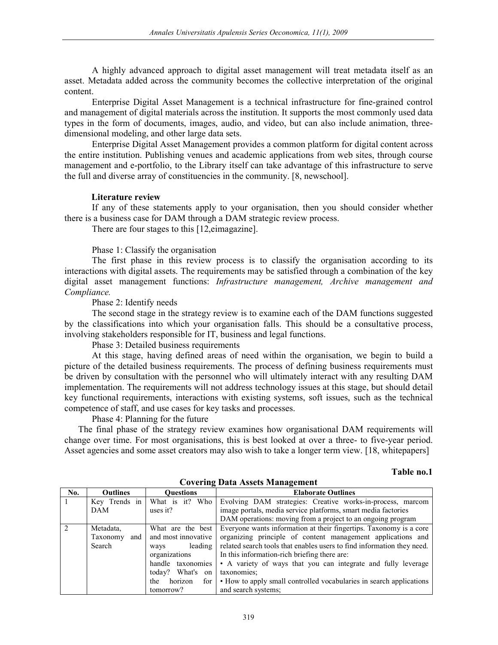A highly advanced approach to digital asset management will treat metadata itself as an asset. Metadata added across the community becomes the collective interpretation of the original content.

Enterprise Digital Asset Management is a technical infrastructure for fine-grained control and management of digital materials across the institution. It supports the most commonly used data types in the form of documents, images, audio, and video, but can also include animation, threedimensional modeling, and other large data sets.

Enterprise Digital Asset Management provides a common platform for digital content across the entire institution. Publishing venues and academic applications from web sites, through course management and e-portfolio, to the Library itself can take advantage of this infrastructure to serve the full and diverse array of constituencies in the community. [8, newschool].

#### **Literature review**

If any of these statements apply to your organisation, then you should consider whether there is a business case for DAM through a DAM strategic review process.

There are four stages to this [12,eimagazine].

Phase 1: Classify the organisation

The first phase in this review process is to classify the organisation according to its interactions with digital assets. The requirements may be satisfied through a combination of the key digital asset management functions: *Infrastructure management, Archive management and Compliance.*

Phase 2: Identify needs

The second stage in the strategy review is to examine each of the DAM functions suggested by the classifications into which your organisation falls. This should be a consultative process, involving stakeholders responsible for IT, business and legal functions.

Phase 3: Detailed business requirements

At this stage, having defined areas of need within the organisation, we begin to build a picture of the detailed business requirements. The process of defining business requirements must be driven by consultation with the personnel who will ultimately interact with any resulting DAM implementation. The requirements will not address technology issues at this stage, but should detail key functional requirements, interactions with existing systems, soft issues, such as the technical competence of staff, and use cases for key tasks and processes.

Phase 4: Planning for the future

The final phase of the strategy review examines how organisational DAM requirements will change over time. For most organisations, this is best looked at over a three- to five-year period. Asset agencies and some asset creators may also wish to take a longer term view. [18, whitepapers]

#### **Table no.1**

| No. | <b>Outlines</b> | <b>Ouestions</b>      | <b>Elaborate Outlines</b>                                                            |
|-----|-----------------|-----------------------|--------------------------------------------------------------------------------------|
|     | Key Trends in   | What is it? Who       | Evolving DAM strategies: Creative works-in-process, marcom                           |
|     | DAM             | uses it?              | image portals, media service platforms, smart media factories                        |
|     |                 |                       | DAM operations: moving from a project to an ongoing program                          |
|     | Metadata,       |                       | What are the best Everyone wants information at their fingertips. Taxonomy is a core |
|     | Taxonomy<br>and | and most innovative   | organizing principle of content management applications and                          |
|     | Search          | leading<br>ways       | related search tools that enables users to find information they need.               |
|     |                 | organizations         | In this information-rich briefing there are:                                         |
|     |                 | handle taxonomies     | • A variety of ways that you can integrate and fully leverage                        |
|     |                 | today? What's<br>on   | taxonomies:                                                                          |
|     |                 | horizon<br>for<br>the | • How to apply small controlled vocabularies in search applications                  |
|     |                 | tomorrow?             | and search systems;                                                                  |

**Covering Data Assets Management**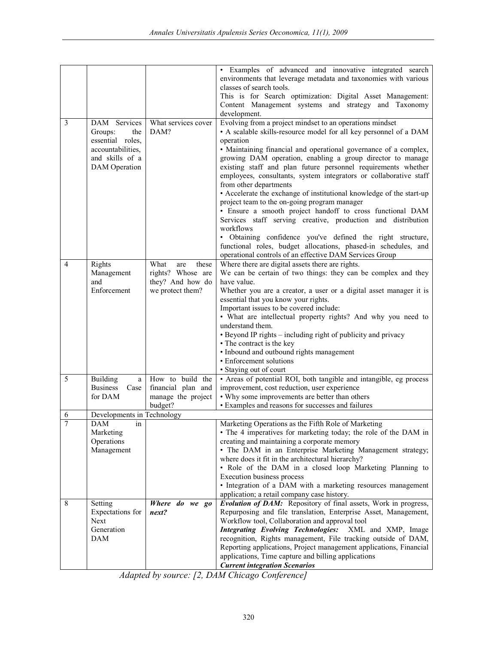|                |                            |                      | • Examples of advanced and innovative integrated search                                                                             |
|----------------|----------------------------|----------------------|-------------------------------------------------------------------------------------------------------------------------------------|
|                |                            |                      | environments that leverage metadata and taxonomies with various                                                                     |
|                |                            |                      | classes of search tools.                                                                                                            |
|                |                            |                      | This is for Search optimization: Digital Asset Management:                                                                          |
|                |                            |                      | Content Management systems and strategy and Taxonomy                                                                                |
|                |                            |                      | development.                                                                                                                        |
| $\mathfrak{Z}$ | <b>DAM</b><br>Services     | What services cover  | Evolving from a project mindset to an operations mindset                                                                            |
|                | Groups:<br>the             | DAM?                 | • A scalable skills-resource model for all key personnel of a DAM                                                                   |
|                | essential roles,           |                      | operation                                                                                                                           |
|                | accountabilities,          |                      | · Maintaining financial and operational governance of a complex,                                                                    |
|                | and skills of a            |                      | growing DAM operation, enabling a group director to manage                                                                          |
|                | <b>DAM</b> Operation       |                      | existing staff and plan future personnel requirements whether                                                                       |
|                |                            |                      | employees, consultants, system integrators or collaborative staff                                                                   |
|                |                            |                      | from other departments                                                                                                              |
|                |                            |                      | • Accelerate the exchange of institutional knowledge of the start-up                                                                |
|                |                            |                      | project team to the on-going program manager                                                                                        |
|                |                            |                      | · Ensure a smooth project handoff to cross functional DAM                                                                           |
|                |                            |                      | Services staff serving creative, production and distribution                                                                        |
|                |                            |                      | workflows                                                                                                                           |
|                |                            |                      | • Obtaining confidence you've defined the right structure,                                                                          |
|                |                            |                      | functional roles, budget allocations, phased-in schedules, and                                                                      |
|                |                            |                      | operational controls of an effective DAM Services Group                                                                             |
| $\overline{4}$ | Rights                     | What<br>these<br>are | Where there are digital assets there are rights.                                                                                    |
|                | Management                 | rights? Whose are    | We can be certain of two things: they can be complex and they                                                                       |
|                | and                        | they? And how do     | have value.                                                                                                                         |
|                | Enforcement                | we protect them?     | Whether you are a creator, a user or a digital asset manager it is                                                                  |
|                |                            |                      | essential that you know your rights.                                                                                                |
|                |                            |                      | Important issues to be covered include:                                                                                             |
|                |                            |                      | • What are intellectual property rights? And why you need to                                                                        |
|                |                            |                      | understand them.                                                                                                                    |
|                |                            |                      | • Beyond IP rights – including right of publicity and privacy                                                                       |
|                |                            |                      | • The contract is the key                                                                                                           |
|                |                            |                      | • Inbound and outbound rights management                                                                                            |
|                |                            |                      | • Enforcement solutions                                                                                                             |
|                |                            |                      | · Staying out of court                                                                                                              |
| 5              | Building<br>a              | How to build the     | • Areas of potential ROI, both tangible and intangible, eg process                                                                  |
|                | <b>Business</b><br>Case    | financial plan and   | improvement, cost reduction, user experience                                                                                        |
|                | for DAM                    | manage the project   | • Why some improvements are better than others                                                                                      |
|                |                            | budget?              | • Examples and reasons for successes and failures                                                                                   |
| 6              | Developments in Technology |                      |                                                                                                                                     |
| $\overline{7}$ | <b>DAM</b><br>in           |                      | Marketing Operations as the Fifth Role of Marketing                                                                                 |
|                | Marketing                  |                      | • The 4 imperatives for marketing today; the role of the DAM in                                                                     |
|                | Operations                 |                      | creating and maintaining a corporate memory                                                                                         |
|                | Management                 |                      | • The DAM in an Enterprise Marketing Management strategy;                                                                           |
|                |                            |                      | where does it fit in the architectural hierarchy?                                                                                   |
|                |                            |                      | • Role of the DAM in a closed loop Marketing Planning to                                                                            |
|                |                            |                      | Execution business process                                                                                                          |
|                |                            |                      | • Integration of a DAM with a marketing resources management                                                                        |
|                |                            |                      | application; a retail company case history.                                                                                         |
| 8              | Setting                    | Where do we go       | <b>Evolution of DAM:</b> Repository of final assets, Work in progress,                                                              |
|                | Expectations for           | next?                | Repurposing and file translation, Enterprise Asset, Management,                                                                     |
|                | <b>Next</b>                |                      | Workflow tool, Collaboration and approval tool                                                                                      |
|                | Generation                 |                      | <b>Integrating Evolving Technologies:</b><br>XML and XMP, Image                                                                     |
|                | <b>DAM</b>                 |                      | recognition, Rights management, File tracking outside of DAM,<br>Reporting applications, Project management applications, Financial |
|                |                            |                      | applications, Time capture and billing applications                                                                                 |
|                |                            |                      | <b>Current integration Scenarios</b>                                                                                                |
|                |                            |                      |                                                                                                                                     |

*Adapted by source: [2, DAM Chicago Conference]*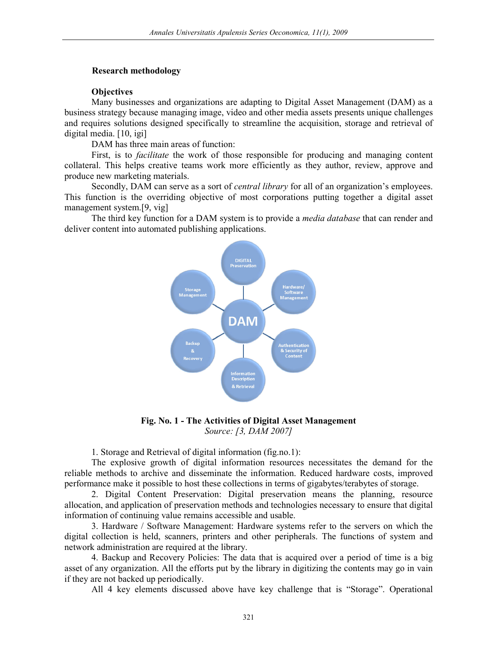## **Research methodology**

## **Objectives**

Many businesses and organizations are adapting to Digital Asset Management (DAM) as a business strategy because managing image, video and other media assets presents unique challenges and requires solutions designed specifically to streamline the acquisition, storage and retrieval of digital media. [10, igi]

DAM has three main areas of function:

First, is to *facilitate* the work of those responsible for producing and managing content collateral. This helps creative teams work more efficiently as they author, review, approve and produce new marketing materials.

Secondly, DAM can serve as a sort of *central library* for all of an organization's employees. This function is the overriding objective of most corporations putting together a digital asset management system.[9, vig]

The third key function for a DAM system is to provide a *media database* that can render and deliver content into automated publishing applications.



**Fig. No. 1 - The Activities of Digital Asset Management**  *Source: [3, DAM 2007]* 

1. Storage and Retrieval of digital information (fig.no.1):

The explosive growth of digital information resources necessitates the demand for the reliable methods to archive and disseminate the information. Reduced hardware costs, improved performance make it possible to host these collections in terms of gigabytes/terabytes of storage.

2. Digital Content Preservation: Digital preservation means the planning, resource allocation, and application of preservation methods and technologies necessary to ensure that digital information of continuing value remains accessible and usable.

3. Hardware / Software Management: Hardware systems refer to the servers on which the digital collection is held, scanners, printers and other peripherals. The functions of system and network administration are required at the library.

4. Backup and Recovery Policies: The data that is acquired over a period of time is a big asset of any organization. All the efforts put by the library in digitizing the contents may go in vain if they are not backed up periodically.

All 4 key elements discussed above have key challenge that is "Storage". Operational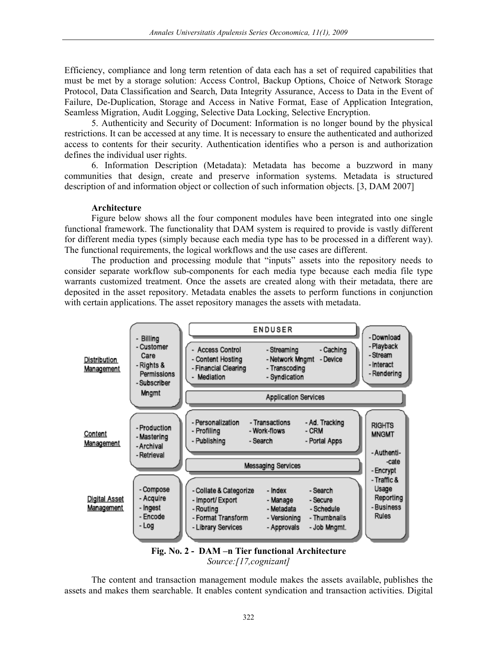Efficiency, compliance and long term retention of data each has a set of required capabilities that must be met by a storage solution: Access Control, Backup Options, Choice of Network Storage Protocol, Data Classification and Search, Data Integrity Assurance, Access to Data in the Event of Failure, De-Duplication, Storage and Access in Native Format, Ease of Application Integration, Seamless Migration, Audit Logging, Selective Data Locking, Selective Encryption.

5. Authenticity and Security of Document: Information is no longer bound by the physical restrictions. It can be accessed at any time. It is necessary to ensure the authenticated and authorized access to contents for their security. Authentication identifies who a person is and authorization defines the individual user rights.

6. Information Description (Metadata): Metadata has become a buzzword in many communities that design, create and preserve information systems. Metadata is structured description of and information object or collection of such information objects. [3, DAM 2007]

#### **Architecture**

Figure below shows all the four component modules have been integrated into one single functional framework. The functionality that DAM system is required to provide is vastly different for different media types (simply because each media type has to be processed in a different way). The functional requirements, the logical workflows and the use cases are different.

The production and processing module that "inputs" assets into the repository needs to consider separate workflow sub-components for each media type because each media file type warrants customized treatment. Once the assets are created along with their metadata, there are deposited in the asset repository. Metadata enables the assets to perform functions in conjunction with certain applications. The asset repository manages the assets with metadata.



*Source:[17,cognizant]* 

The content and transaction management module makes the assets available, publishes the assets and makes them searchable. It enables content syndication and transaction activities. Digital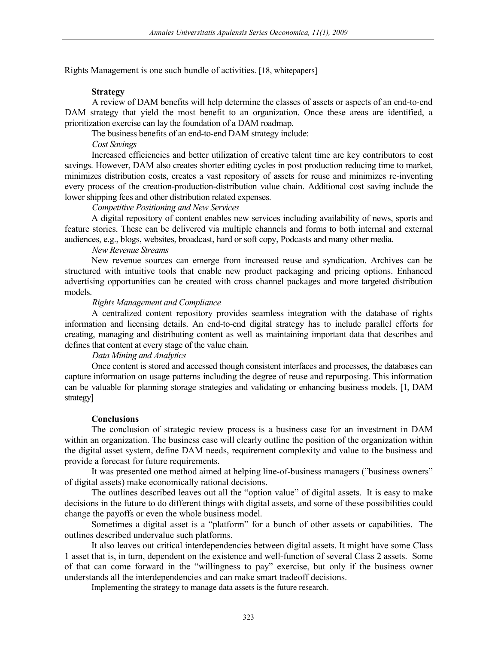Rights Management is one such bundle of activities. [18, whitepapers]

## **Strategy**

A review of DAM benefits will help determine the classes of assets or aspects of an end-to-end DAM strategy that yield the most benefit to an organization. Once these areas are identified, a prioritization exercise can lay the foundation of a DAM roadmap.

The business benefits of an end-to-end DAM strategy include:

*Cost Savings* 

Increased efficiencies and better utilization of creative talent time are key contributors to cost savings. However, DAM also creates shorter editing cycles in post production reducing time to market, minimizes distribution costs, creates a vast repository of assets for reuse and minimizes re-inventing every process of the creation-production-distribution value chain. Additional cost saving include the lower shipping fees and other distribution related expenses.

*Competitive Positioning and New Services* 

A digital repository of content enables new services including availability of news, sports and feature stories. These can be delivered via multiple channels and forms to both internal and external audiences, e.g., blogs, websites, broadcast, hard or soft copy, Podcasts and many other media.

#### *New Revenue Streams*

New revenue sources can emerge from increased reuse and syndication. Archives can be structured with intuitive tools that enable new product packaging and pricing options. Enhanced advertising opportunities can be created with cross channel packages and more targeted distribution models.

#### *Rights Management and Compliance*

A centralized content repository provides seamless integration with the database of rights information and licensing details. An end-to-end digital strategy has to include parallel efforts for creating, managing and distributing content as well as maintaining important data that describes and defines that content at every stage of the value chain.

## *Data Mining and Analytics*

Once content is stored and accessed though consistent interfaces and processes, the databases can capture information on usage patterns including the degree of reuse and repurposing. This information can be valuable for planning storage strategies and validating or enhancing business models. [1, DAM strategy]

#### **Conclusions**

The conclusion of strategic review process is a business case for an investment in DAM within an organization. The business case will clearly outline the position of the organization within the digital asset system, define DAM needs, requirement complexity and value to the business and provide a forecast for future requirements.

It was presented one method aimed at helping line-of-business managers ("business owners" of digital assets) make economically rational decisions.

The outlines described leaves out all the "option value" of digital assets. It is easy to make decisions in the future to do different things with digital assets, and some of these possibilities could change the payoffs or even the whole business model.

Sometimes a digital asset is a "platform" for a bunch of other assets or capabilities. The outlines described undervalue such platforms.

It also leaves out critical interdependencies between digital assets. It might have some Class 1 asset that is, in turn, dependent on the existence and well-function of several Class 2 assets. Some of that can come forward in the "willingness to pay" exercise, but only if the business owner understands all the interdependencies and can make smart tradeoff decisions.

Implementing the strategy to manage data assets is the future research.